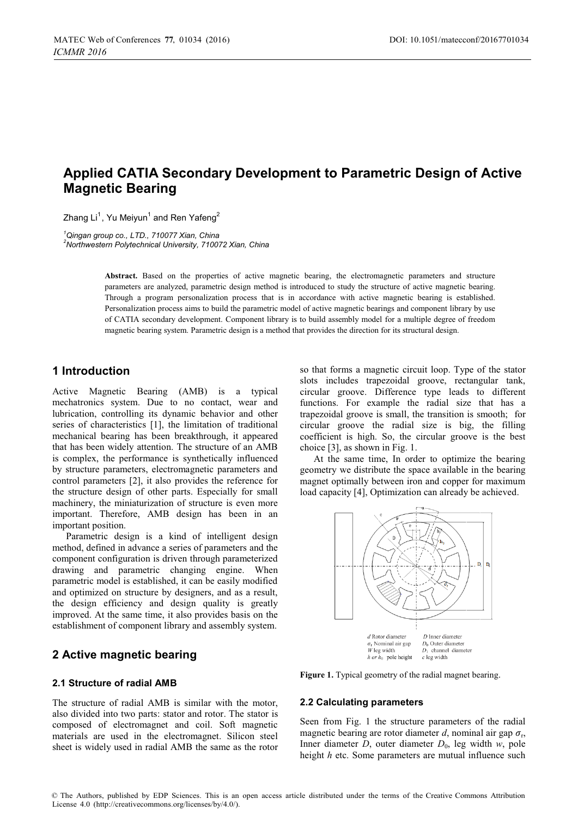# **Applied CATIA Secondary Development to Parametric Design of Active Magnetic Bearing**

Zhang Li $^1$ , Yu Meiyun $^1$  and Ren Yafeng $^2$ 

<sup>1</sup>Qingan group co., LTD., 710077 Xian, China *Qingan group co., LTD., 710077 Xian, China 2 Northwestern Polytechnical University, 710072 Xian, China* 

> Abstract. Based on the properties of active magnetic bearing, the electromagnetic parameters and structure parameters are analyzed, parametric design method is introduced to study the structure of active magnetic bearing. Through a program personalization process that is in accordance with active magnetic bearing is established. Personalization process aims to build the parametric model of active magnetic bearings and component library by use of CATIA secondary development. Component library is to build assembly model for a multiple degree of freedom magnetic bearing system. Parametric design is a method that provides the direction for its structural design.

## **1 Introduction**

Active Magnetic Bearing (AMB) is a typical mechatronics system. Due to no contact, wear and lubrication, controlling its dynamic behavior and other series of characteristics [1], the limitation of traditional mechanical bearing has been breakthrough, it appeared that has been widely attention. The structure of an AMB is complex, the performance is synthetically influenced by structure parameters, electromagnetic parameters and control parameters [2], it also provides the reference for the structure design of other parts. Especially for small machinery, the miniaturization of structure is even more important. Therefore, AMB design has been in an important position.

Parametric design is a kind of intelligent design method, defined in advance a series of parameters and the component configuration is driven through parameterized drawing and parametric changing engine. When parametric model is established, it can be easily modified and optimized on structure by designers, and as a result, the design efficiency and design quality is greatly improved. At the same time, it also provides basis on the establishment of component library and assembly system.

## **2 Active magnetic bearing**

## **2.1 Structure of radial AMB**

The structure of radial AMB is similar with the motor, also divided into two parts: stator and rotor. The stator is composed of electromagnet and coil. Soft magnetic materials are used in the electromagnet. Silicon steel sheet is widely used in radial AMB the same as the rotor

so that forms a magnetic circuit loop. Type of the stator slots includes trapezoidal groove, rectangular tank, circular groove. Difference type leads to different functions. For example the radial size that has a trapezoidal groove is small, the transition is smooth; for circular groove the radial size is big, the filling coefficient is high. So, the circular groove is the best choice [3], as shown in Fig. 1.

At the same time, In order to optimize the bearing geometry we distribute the space available in the bearing magnet optimally between iron and copper for maximum load capacity [4], Optimization can already be achieved.



**Figure 1.** Typical geometry of the radial magnet bearing.

#### **2.2 Calculating parameters**

Seen from Fig. 1 the structure parameters of the radial magnetic bearing are rotor diameter  $d$ , nominal air gap  $\sigma_r$ , Inner diameter  $D$ , outer diameter  $D_0$ , leg width  $w$ , pole height *h* etc. Some parameters are mutual influence such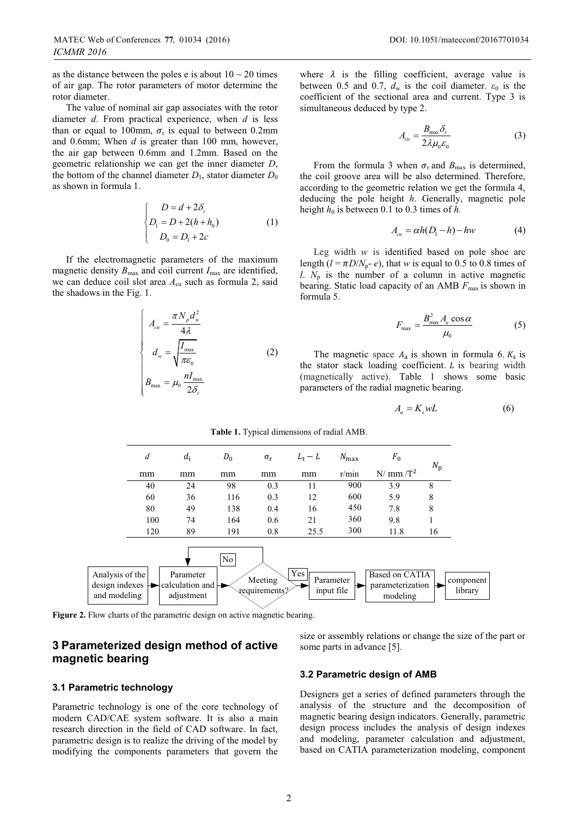as the distance between the poles e is about  $10 \sim 20$  times of air gap. The rotor parameters of motor determine the rotor diameter.

The value of nominal air gap associates with the rotor diameter *d*. From practical experience, when *d* is less than or equal to 100mm,  $\sigma_r$  is equal to between 0.2mm and 0.6mm; When *d* is greater than 100 mm, however, the air gap between 0.6mm and 1.2mm. Based on the geometric relationship we can get the inner diameter *D*, the bottom of the channel diameter  $D_1$ , stator diameter  $D_0$ as shown in formula 1.

$$
\begin{cases}\nD = d + 2\delta_r \\
D_1 = D + 2(h + h_0) \\
D_0 = D_1 + 2c\n\end{cases}
$$
\n(1)

If the electromagnetic parameters of the maximum magnetic density  $B_{\text{max}}$  and coil current  $I_{\text{max}}$  are identified, we can deduce coil slot area  $A_{\rm cu}$  such as formula 2, said the shadows in the Fig. 1.

$$
\begin{cases}\nA_{cu} = \frac{\pi N_p d_w^2}{4\lambda} \\
d_w = \sqrt{\frac{I_{\text{max}}}{\pi \varepsilon_0}} \\
B_{\text{max}} = \mu_0 \frac{nI_{\text{max}}}{2\delta_r}\n\end{cases}
$$
\n(2)

where  $\lambda$  is the filling coefficient, average value is between 0.5 and 0.7,  $d_w$  is the coil diameter.  $\varepsilon_0$  is the coefficient of the sectional area and current. Type 3 is simultaneous deduced by type 2.

$$
A_{cu} = \frac{B_{\text{max}} \delta_r}{2\lambda \mu_0 \varepsilon_0} \tag{3}
$$

From the formula 3 when  $\sigma_r$  and  $B_{\text{max}}$  is determined, the coil groove area will be also determined. Therefore, according to the geometric relation we get the formula 4, deducing the pole height *h*. Generally, magnetic pole height  $h_0$  is between 0.1 to 0.3 times of  $h$ .

$$
A_{cu} = \alpha h (D_1 - h) - h w \tag{4}
$$

Leg width *w* is identified based on pole shoe arc length ( $l = \pi D/N_p - e$ ), that *w* is equal to 0.5 to 0.8 times of *l*.  $N_p$  is the number of a column in active magnetic bearing. Static load capacity of an AMB  $F_{\text{max}}$  is shown in formula 5.

$$
F_{\text{max}} = \frac{B_{\text{max}}^2 A_a \cos \alpha}{\mu_0} \tag{5}
$$

The magnetic space  $A_a$  is shown in formula 6.  $K_s$  is the stator stack loading coefficient.  $L$  is bearing width (magnetically active). Table 1 shows some basic parameters of the radial magnetic bearing.

$$
A_a = K_s w L \tag{6}
$$



**Table 1.** Typical dimensions of radial AMB.

**Figure 2.** Flow charts of the parametric design on active magnetic bearing.

## **3 Parameterized design method of active magnetic bearing**

#### **3.1 Parametric technology**

Parametric technology is one of the core technology of modern CAD/CAE system software. It is also a main research direction in the field of CAD software. In fact, parametric design is to realize the driving of the model by modifying the components parameters that govern the

size or assembly relations or change the size of the part or some parts in advance [5].

#### **3.2 Parametric design of AMB**

Designers get a series of defined parameters through the analysis of the structure and the decomposition of magnetic bearing design indicators. Generally, parametric design process includes the analysis of design indexes and modeling, parameter calculation and adjustment, based on CATIA parameterization modeling, component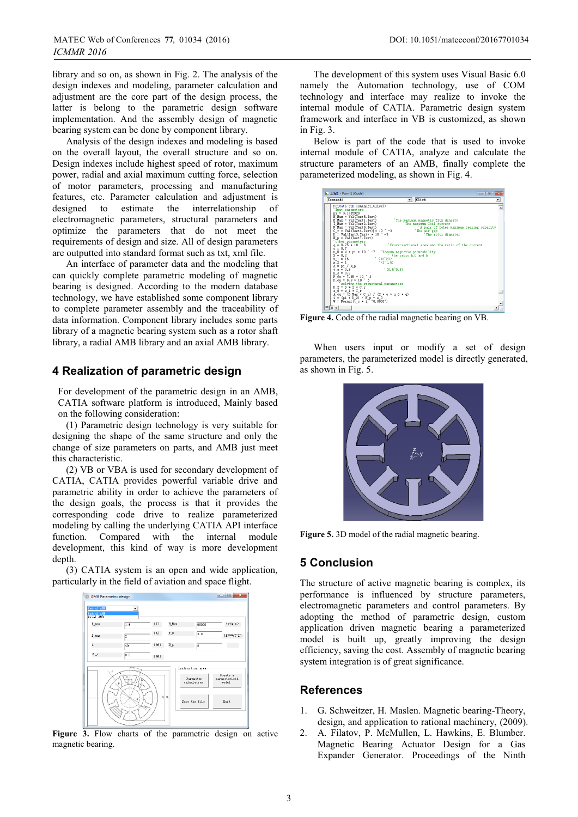library and so on, as shown in Fig. 2. The analysis of the design indexes and modeling, parameter calculation and adjustment are the core part of the design process, the latter is belong to the parametric design software implementation. And the assembly design of magnetic bearing system can be done by component library.

Analysis of the design indexes and modeling is based on the overall layout, the overall structure and so on. Design indexes include highest speed of rotor, maximum power, radial and axial maximum cutting force, selection of motor parameters, processing and manufacturing features, etc. Parameter calculation and adjustment is designed to estimate the interrelationship of electromagnetic parameters, structural parameters and optimize the parameters that do not meet the requirements of design and size. All of design parameters are outputted into standard format such as txt, xml file.

An interface of parameter data and the modeling that can quickly complete parametric modeling of magnetic bearing is designed. According to the modern database technology, we have established some component library to complete parameter assembly and the traceability of data information. Component library includes some parts library of a magnetic bearing system such as a rotor shaft library, a radial AMB library and an axial AMB library.

## **4 Realization of parametric design**

For development of the parametric design in an AMB, CATIA software platform is introduced, Mainly based on the following consideration:

(1) Parametric design technology is very suitable for designing the shape of the same structure and only the change of size parameters on parts, and AMB just meet this characteristic.

(2) VB or VBA is used for secondary development of CATIA, CATIA provides powerful variable drive and parametric ability in order to achieve the parameters of the design goals, the process is that it provides the corresponding code drive to realize parameterized modeling by calling the underlying CATIA API interface function. Compared with the internal module development, this kind of way is more development depth.

(3) CATIA system is an open and wide application, particularly in the field of aviation and space flight.



**Figure 3.** Flow charts of the parametric design on active magnetic bearing.

The development of this system uses Visual Basic 6.0 namely the Automation technology, use of COM technology and interface may realize to invoke the internal module of CATIA. Parametric design system framework and interface in VB is customized, as shown in Fig. 3.

Below is part of the code that is used to invoke internal module of CATIA, analyze and calculate the structure parameters of an AMB, finally complete the parameterized modeling, as shown in Fig. 4.

| Connandi                                                                              | Click                                                          |
|---------------------------------------------------------------------------------------|----------------------------------------------------------------|
| Private Sub Command1_Click()                                                          |                                                                |
| 'Iput parameters                                                                      |                                                                |
| $pi = 3.1415926$                                                                      |                                                                |
| N Hax = Val(Text5.Text)                                                               |                                                                |
| B Max = Val(Text1.Text)                                                               | 'The maximum nagnetic flux density                             |
| I Max = Val(Text2.Text)                                                               | 'The maximum Coil current                                      |
| $F$ Hax = Val (Text 6, Text)                                                          | 'A pair of poles naximum bearing capacity                      |
| $C_r = Val(Text4, Text) * 10$ $-3$                                                    | 'The air gap<br>'The rotor dianeter                            |
| $D = Val(Text3, Text) * 10$                                                           | ÷ −3.                                                          |
| $N_p = Val(Text7, Text)$<br>other parameters                                          |                                                                |
| $a = 0.75 + 10^{-6}6$                                                                 | Cross-sectional area and the ratio of the current              |
| $0 = 0.7$                                                                             |                                                                |
|                                                                                       | u 0 = 4 * pi * 10 <sup>-</sup> -7 Vacuum magnetic perneability |
| $X = 0.2$                                                                             | the ratio h 0 and h                                            |
| $x 1 = 15$                                                                            | $'$ (10 <sup><math>\gamma</math></sup> 20)                     |
| $x$ 2 = 1                                                                             | 1(171.5)                                                       |
| А = рі / Кр                                                                           |                                                                |
| $t c = 0.8$                                                                           | (0.5 <sup>o</sup> 0.8)                                         |
| $K_s = 0.9$                                                                           |                                                                |
| $P$ fe = 7.65 $*$ 10 $*$ 3                                                            |                                                                |
| $P_{\text{cut}} = 8.9 + 10^{-6}$ 3                                                    |                                                                |
| 'solving the structural parameters                                                    |                                                                |
| $D 2 = D + 2 * C r$                                                                   |                                                                |
| $e$ $0 = x + c r$                                                                     |                                                                |
| $A_{\text{c}}cu = (B_{\text{c}} Max * C_{\text{c}} x) / (2 * o * u_{\text{c}} 0 * q)$ |                                                                |
| $i = (pi * D_2) / R_p - e_0$                                                          |                                                                |
| $W =$ Fornat (t _c $* i,$ "0.0000")                                                   |                                                                |
| ≔l≡ ∢                                                                                 |                                                                |
|                                                                                       |                                                                |

**Figure 4.** Code of the radial magnetic bearing on VB.

When users input or modify a set of design parameters, the parameterized model is directly generated, as shown in Fig. 5.



**Figure 5.** 3D model of the radial magnetic bearing.

## **5 Conclusion**

The structure of active magnetic bearing is complex, its performance is influenced by structure parameters, electromagnetic parameters and control parameters. By adopting the method of parametric design, custom application driven magnetic bearing a parameterized model is built up, greatly improving the design efficiency, saving the cost. Assembly of magnetic bearing system integration is of great significance.

### **References**

- 1. G. Schweitzer, H. Maslen. Magnetic bearing-Theory, design, and application to rational machinery, (2009).
- 2. A. Filatov, P. McMullen, L. Hawkins, E. Blumber. Magnetic Bearing Actuator Design for a Gas Expander Generator. Proceedings of the Ninth